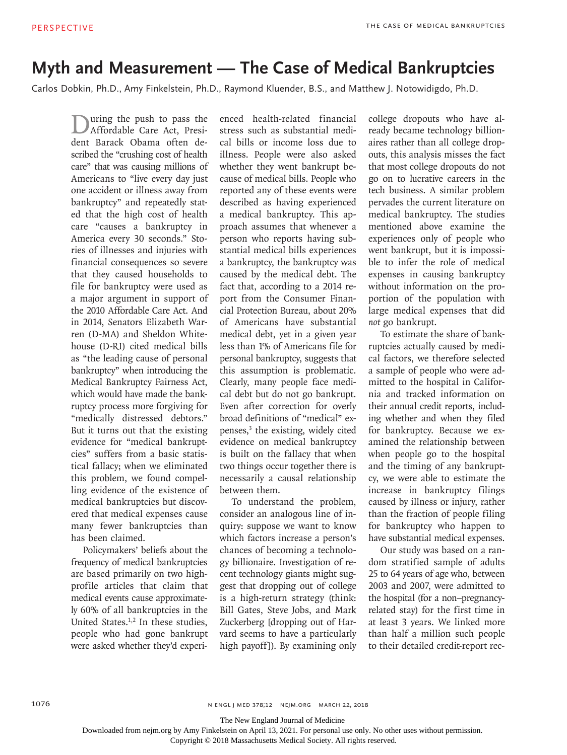## **Myth and Measurement — The Case of Medical Bankruptcies**

Carlos Dobkin, Ph.D., Amy Finkelstein, Ph.D., Raymond Kluender, B.S., and Matthew J. Notowidigdo, Ph.D.

uring the push to pass the Affordable Care Act, President Barack Obama often described the "crushing cost of health care" that was causing millions of Americans to "live every day just one accident or illness away from bankruptcy" and repeatedly stated that the high cost of health care "causes a bankruptcy in America every 30 seconds." Stories of illnesses and injuries with financial consequences so severe that they caused households to file for bankruptcy were used as a major argument in support of the 2010 Affordable Care Act. And in 2014, Senators Elizabeth Warren (D-MA) and Sheldon Whitehouse (D-RI) cited medical bills as "the leading cause of personal bankruptcy" when introducing the Medical Bankruptcy Fairness Act, which would have made the bankruptcy process more forgiving for "medically distressed debtors." But it turns out that the existing evidence for "medical bankruptcies" suffers from a basic statistical fallacy; when we eliminated this problem, we found compelling evidence of the existence of medical bankruptcies but discovered that medical expenses cause many fewer bankruptcies than has been claimed.

Policymakers' beliefs about the frequency of medical bankruptcies are based primarily on two highprofile articles that claim that medical events cause approximately 60% of all bankruptcies in the United States.<sup>1,2</sup> In these studies, people who had gone bankrupt were asked whether they'd experienced health-related financial stress such as substantial medical bills or income loss due to illness. People were also asked whether they went bankrupt because of medical bills. People who reported any of these events were described as having experienced a medical bankruptcy. This approach assumes that whenever a person who reports having substantial medical bills experiences a bankruptcy, the bankruptcy was caused by the medical debt. The fact that, according to a 2014 report from the Consumer Financial Protection Bureau, about 20% of Americans have substantial medical debt, yet in a given year less than 1% of Americans file for personal bankruptcy, suggests that this assumption is problematic. Clearly, many people face medical debt but do not go bankrupt. Even after correction for overly broad definitions of "medical" expenses,<sup>3</sup> the existing, widely cited evidence on medical bankruptcy is built on the fallacy that when two things occur together there is necessarily a causal relationship between them.

To understand the problem, consider an analogous line of inquiry: suppose we want to know which factors increase a person's chances of becoming a technology billionaire. Investigation of recent technology giants might suggest that dropping out of college is a high-return strategy (think: Bill Gates, Steve Jobs, and Mark Zuckerberg [dropping out of Harvard seems to have a particularly high payoff]). By examining only college dropouts who have already became technology billionaires rather than all college dropouts, this analysis misses the fact that most college dropouts do not go on to lucrative careers in the tech business. A similar problem pervades the current literature on medical bankruptcy. The studies mentioned above examine the experiences only of people who went bankrupt, but it is impossible to infer the role of medical expenses in causing bankruptcy without information on the proportion of the population with large medical expenses that did *not* go bankrupt.

To estimate the share of bankruptcies actually caused by medical factors, we therefore selected a sample of people who were admitted to the hospital in California and tracked information on their annual credit reports, including whether and when they filed for bankruptcy. Because we examined the relationship between when people go to the hospital and the timing of any bankruptcy, we were able to estimate the increase in bankruptcy filings caused by illness or injury, rather than the fraction of people filing for bankruptcy who happen to have substantial medical expenses.

Our study was based on a random stratified sample of adults 25 to 64 years of age who, between 2003 and 2007, were admitted to the hospital (for a non–pregnancyrelated stay) for the first time in at least 3 years. We linked more than half a million such people to their detailed credit-report rec-

n engl j med 378;12 nejm.org March 22, 2018

The New England Journal of Medicine

Downloaded from nejm.org by Amy Finkelstein on April 13, 2021. For personal use only. No other uses without permission.

Copyright © 2018 Massachusetts Medical Society. All rights reserved.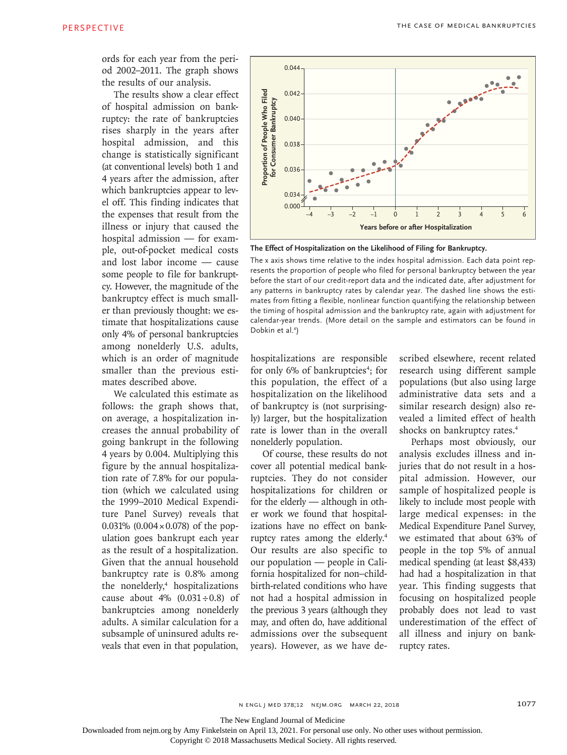ords for each year from the period 2002–2011. The graph shows the results of our analysis.

The results show a clear effect of hospital admission on bankruptcy: the rate of bankruptcies rises sharply in the years after hospital admission, and this change is statistically significant (at conventional levels) both 1 and 4 years after the admission, after which bankruptcies appear to level off. This finding indicates that the expenses that result from the illness or injury that caused the hospital admission — for example, out-of-pocket medical costs and lost labor income — cause some people to file for bankruptcy. However, the magnitude of the bankruptcy effect is much smaller than previously thought: we estimate that hospitalizations cause only 4% of personal bankruptcies among nonelderly U.S. adults, which is an order of magnitude smaller than the previous estimates described above.

We calculated this estimate as follows: the graph shows that, on average, a hospitalization increases the annual probability of going bankrupt in the following 4 years by 0.004. Multiplying this figure by the annual hospitalization rate of 7.8% for our population (which we calculated using the 1999–2010 Medical Expenditure Panel Survey) reveals that 0.031% (0.004×0.078) of the population goes bankrupt each year as the result of a hospitalization. Given that the annual household bankruptcy rate is 0.8% among the nonelderly,<sup>4</sup> hospitalizations cause about  $4\%$   $(0.031 \div 0.8)$  of bankruptcies among nonelderly adults. A similar calculation for a subsample of uninsured adults reveals that even in that population,



**The Effect of Hospitalization on the Likelihood of Filing for Bankruptcy.**

The x axis shows time relative to the index hospital admission. Each data point represents the proportion of people who filed for personal bankruptcy between the year before the start of our credit-report data and the indicated date, after adjustment for any patterns in bankruptcy rates by calendar year. The dashed line shows the estimates from fitting a flexible, nonlinear function quantifying the relationship between the timing of hospital admission and the bankruptcy rate, again with adjustment for calendar-year trends. (More detail on the sample and estimators can be found in Dobkin et al.<sup>4</sup>)

hospitalizations are responsible for only 6% of bankruptcies<sup>4</sup>; for this population, the effect of a hospitalization on the likelihood of bankruptcy is (not surprisingly) larger, but the hospitalization rate is lower than in the overall nonelderly population.

Of course, these results do not cover all potential medical bankruptcies. They do not consider hospitalizations for children or for the elderly — although in other work we found that hospitalizations have no effect on bankruptcy rates among the elderly.4 Our results are also specific to our population — people in California hospitalized for non–childbirth-related conditions who have not had a hospital admission in the previous 3 years (although they may, and often do, have additional admissions over the subsequent years). However, as we have described elsewhere, recent related research using different sample populations (but also using large administrative data sets and a similar research design) also revealed a limited effect of health shocks on bankruptcy rates.4

Perhaps most obviously, our analysis excludes illness and injuries that do not result in a hospital admission. However, our sample of hospitalized people is likely to include most people with large medical expenses: in the Medical Expenditure Panel Survey, we estimated that about 63% of people in the top 5% of annual medical spending (at least \$8,433) had had a hospitalization in that year. This finding suggests that focusing on hospitalized people probably does not lead to vast underestimation of the effect of all illness and injury on bankruptcy rates.

The New England Journal of Medicine

Downloaded from nejm.org by Amy Finkelstein on April 13, 2021. For personal use only. No other uses without permission.

Copyright © 2018 Massachusetts Medical Society. All rights reserved.